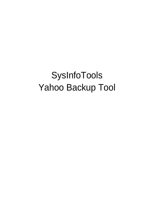# SysInfoTools Yahoo Backup Tool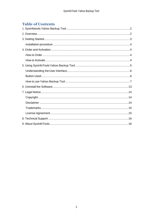# **Table of Contents**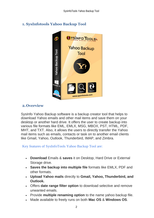# <span id="page-2-0"></span>**1. SysInfotools Yahoo Backup Tool**



## <span id="page-2-1"></span>**2.Overview**

SysInfo Yahoo Backup software is a backup creator tool that helps to download Yahoo emails and other mail items and save them on your desktop or another hard drive. It offers the user to create backup into various file formats like EML, EMLX, MSG, MBOX, PST, HTML, PDF, MHT, and TXT. Also, it allows the users to directly transfer the Yahoo mail items such as emails, contacts or task on to another email clients like Gmail, Yahoo, Outlook, Thunderbird, IMAP, and Zimbra.

Key features of SysInfoTools Yahoo Backup Tool are:

- **Download** Emails & **saves** it on Desktop, Hard Drive or External Storage drive.
- **Saves the backup into multiple file** formats like EMLX, PDF and other formats.
- **Upload Yahoo mails** directly to **Gmail, Yahoo, Thunderbird, and Outlook.**
- Offers **date range filter option** to download selective and remove unwanted emails.
- Provide **multiple renaming option** to the name yahoo backup file.
- Made available to freely runs on both **Mac OS** & **Windows OS**.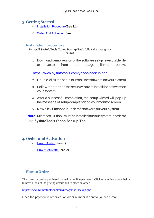## <span id="page-3-0"></span>**3.Getting Started**

- Installation Procedure (See 3.1)
- Order And Activation (See 4.)

#### <span id="page-3-1"></span>**Installation procedure**

To install **SysInfoTools Yahoo Backup Tool**, follow the steps given below:

1. Download demo version of the software setup (executable file or .exe) from the page linked below:

<https://www.sysinfotools.com/yahoo-backup.php>

- 2. Double-click the setup to install the software onyour system.
- 3. Follow the steps on the setup wizard to install the software on your system.
- 4. After a successful completion, the setup wizard will pop-up the message of setup completion on your monitor screen.
- 5. Now click **Finish** to launch the software on your system.

**Note:**MicrosoftOutlookmustbeinstalledonyoursysteminorderto use **SysInfoTools Yahoo Backup Tool**.

## <span id="page-3-2"></span>**4. Order and Activation**

- **[How to Order](#page-3-3)(See 4.1)**
- [How to Activate](#page-4-0)(See4.2)

## <span id="page-3-3"></span>**How to Order**

The software can be purchased by making online payments. Click on the link shown below to have a look at the pricing details and to place an order.

<https://www.sysinfotools.com/buynow/yahoo-backup.php>

Once the payment is received, an order number is sent to you via e-mail.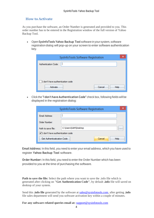#### <span id="page-4-0"></span>**How to Activate**

As you purchase the software, an Order Number is generated and provided to you. This order number has to be entered in the Registration window of the full version of Yahoo Backup Tool.

• Open **SysInfoTools Yahoo Backup Tool** software in your system, software registration dialog will pop-up on your screen to enter software authentication key.

| ×<br>SysInfoTools Software Registration |
|-----------------------------------------|
| Authentication Code:                    |
|                                         |
|                                         |
| I don't have authentication code        |
| Cancel<br>Activate<br><b>Help</b>       |

• Click the **"I don't have Authentication Code"** check box, following fields will be displayed in the registration dialog:

|                                  | SysInfoTools Software Registration |  |
|----------------------------------|------------------------------------|--|
| Email Address:                   |                                    |  |
| Order Number:                    |                                    |  |
| Path to save file:               | C:\Users\SAM\Desktop<br>$\cdots$   |  |
| I don't have authentication code |                                    |  |
| Get Authenticatication Code      | Cancel<br>Help                     |  |

**Email Address:** In this field, you need to enter your email address, which you have used to register **Yahoo Backup Tool** software.

**Order Number:** In this field, you need to enter the Order Number which has been provided to you at the time of purchasing the software.

**Path to save the file:** Select the path where you want to save the .info file which is generated after clicking on **"Get Authentication Code"**, by default **.info** file will saved on desktop of your system.

Send this **.info file** generated by the software at [sales@sysinfotools.com,](mailto:sales@sysinfotools.com) after getting **.info** file sales department will send you software activation key within a couple of minutes.

**For any software related queries email at:** [support@sysinfotools.com](mailto:support@sysinfotools.com)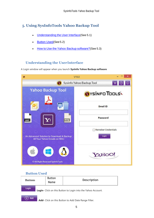# <span id="page-5-0"></span>**5. Using SysInfoTools Yahoo Backup Tool**

- [Understanding](#page-5-1) the User Interface (See 5.1)
- **[Button Used](#page-5-2)(See 5.2)**
- How to Use the Yahoo Backup [software?](#page-6-0)(See 5.3)

## <span id="page-5-1"></span>**Understanding the UserInterface**

A Login window will appear when you launch **SysInfo Yahoo Backup software**



#### <span id="page-5-2"></span>**Button Used**

| <b>Buttons</b> | <b>Button</b><br><b>Name</b> | <b>Description</b>                                           |
|----------------|------------------------------|--------------------------------------------------------------|
| Login          |                              | Login- Click on this Button to Login into the Yahoo Account. |
| Add            |                              | Add- Click on this Button to Add Date Range Filter.          |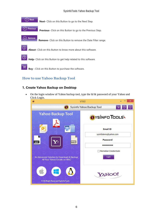

## <span id="page-6-0"></span>**How to use Yahoo Backup Tool**

## **1. Create Yahoo Backup on Desktop**

• On the login window of Yahoo backup tool, type the Id & password of your Yahoo and Click Login.

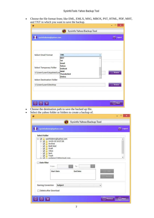• Choose the file format from; like EML, EMLX, MSG, MBOX, PST, HTML, PDF, MHT, and TXT in which you want to save the backup.

| sysinfodemo@yahoo.com<br><b>Select Email Format</b><br><b>EML</b><br>v<br><b>MHT</b><br>Txt<br>Gmail<br>Yahoo<br><b>Select Temporary Folder</b><br>Outlook<br><b>IMAP</b><br>C:\Users\user1\AppData\Loc<br><b>Thunderbird</b><br>Zimbra<br><b>Select Destination Folder</b><br>C:\Users\user1\Desktop<br>$^\circledR$<br>$\circledcirc$<br>博<br>Choose the destination path to save the backed up file.<br>Select the yahoo folder or folders to create a backup of.<br>$\bullet$<br>Sysinfo Yahoo Backup Tool<br>sysinfodemo@yahoo.com<br><b>Select Folder</b><br>□ V sysinfodemo@yahoo.com<br>14-03-19 14:37:36<br>$\blacksquare$<br>Archive<br>✔<br><b>Bulk Mail</b><br>$\blacktriangledown$<br>Draft<br>V<br><b>Inbox</b><br>⊽<br>Sent<br>⊽<br>Trash<br>✓<br>sysdemo12@botmail.com<br>$\overline{\mathbf{v}}$ | G Logout<br>Browse<br>Browse<br>◯ Next |
|-------------------------------------------------------------------------------------------------------------------------------------------------------------------------------------------------------------------------------------------------------------------------------------------------------------------------------------------------------------------------------------------------------------------------------------------------------------------------------------------------------------------------------------------------------------------------------------------------------------------------------------------------------------------------------------------------------------------------------------------------------------------------------------------------------------------|----------------------------------------|
|                                                                                                                                                                                                                                                                                                                                                                                                                                                                                                                                                                                                                                                                                                                                                                                                                   |                                        |
|                                                                                                                                                                                                                                                                                                                                                                                                                                                                                                                                                                                                                                                                                                                                                                                                                   |                                        |
|                                                                                                                                                                                                                                                                                                                                                                                                                                                                                                                                                                                                                                                                                                                                                                                                                   |                                        |
|                                                                                                                                                                                                                                                                                                                                                                                                                                                                                                                                                                                                                                                                                                                                                                                                                   |                                        |
|                                                                                                                                                                                                                                                                                                                                                                                                                                                                                                                                                                                                                                                                                                                                                                                                                   |                                        |
|                                                                                                                                                                                                                                                                                                                                                                                                                                                                                                                                                                                                                                                                                                                                                                                                                   |                                        |
|                                                                                                                                                                                                                                                                                                                                                                                                                                                                                                                                                                                                                                                                                                                                                                                                                   |                                        |
|                                                                                                                                                                                                                                                                                                                                                                                                                                                                                                                                                                                                                                                                                                                                                                                                                   |                                        |
|                                                                                                                                                                                                                                                                                                                                                                                                                                                                                                                                                                                                                                                                                                                                                                                                                   |                                        |
|                                                                                                                                                                                                                                                                                                                                                                                                                                                                                                                                                                                                                                                                                                                                                                                                                   |                                        |
|                                                                                                                                                                                                                                                                                                                                                                                                                                                                                                                                                                                                                                                                                                                                                                                                                   |                                        |
|                                                                                                                                                                                                                                                                                                                                                                                                                                                                                                                                                                                                                                                                                                                                                                                                                   |                                        |
|                                                                                                                                                                                                                                                                                                                                                                                                                                                                                                                                                                                                                                                                                                                                                                                                                   |                                        |
|                                                                                                                                                                                                                                                                                                                                                                                                                                                                                                                                                                                                                                                                                                                                                                                                                   |                                        |
|                                                                                                                                                                                                                                                                                                                                                                                                                                                                                                                                                                                                                                                                                                                                                                                                                   |                                        |
|                                                                                                                                                                                                                                                                                                                                                                                                                                                                                                                                                                                                                                                                                                                                                                                                                   |                                        |
|                                                                                                                                                                                                                                                                                                                                                                                                                                                                                                                                                                                                                                                                                                                                                                                                                   |                                        |
|                                                                                                                                                                                                                                                                                                                                                                                                                                                                                                                                                                                                                                                                                                                                                                                                                   |                                        |
|                                                                                                                                                                                                                                                                                                                                                                                                                                                                                                                                                                                                                                                                                                                                                                                                                   |                                        |
|                                                                                                                                                                                                                                                                                                                                                                                                                                                                                                                                                                                                                                                                                                                                                                                                                   | G Logout                               |
|                                                                                                                                                                                                                                                                                                                                                                                                                                                                                                                                                                                                                                                                                                                                                                                                                   |                                        |
|                                                                                                                                                                                                                                                                                                                                                                                                                                                                                                                                                                                                                                                                                                                                                                                                                   |                                        |
|                                                                                                                                                                                                                                                                                                                                                                                                                                                                                                                                                                                                                                                                                                                                                                                                                   |                                        |
|                                                                                                                                                                                                                                                                                                                                                                                                                                                                                                                                                                                                                                                                                                                                                                                                                   |                                        |
|                                                                                                                                                                                                                                                                                                                                                                                                                                                                                                                                                                                                                                                                                                                                                                                                                   |                                        |
|                                                                                                                                                                                                                                                                                                                                                                                                                                                                                                                                                                                                                                                                                                                                                                                                                   |                                        |
|                                                                                                                                                                                                                                                                                                                                                                                                                                                                                                                                                                                                                                                                                                                                                                                                                   |                                        |
| <b>Date Filter</b>                                                                                                                                                                                                                                                                                                                                                                                                                                                                                                                                                                                                                                                                                                                                                                                                |                                        |
| From:<br>To:                                                                                                                                                                                                                                                                                                                                                                                                                                                                                                                                                                                                                                                                                                                                                                                                      |                                        |
| <b>Start Date</b><br><b>End Date</b>                                                                                                                                                                                                                                                                                                                                                                                                                                                                                                                                                                                                                                                                                                                                                                              | (0) VASS                               |
|                                                                                                                                                                                                                                                                                                                                                                                                                                                                                                                                                                                                                                                                                                                                                                                                                   |                                        |
|                                                                                                                                                                                                                                                                                                                                                                                                                                                                                                                                                                                                                                                                                                                                                                                                                   | C Penul                                |
| Naming Convention<br>Subject<br>v                                                                                                                                                                                                                                                                                                                                                                                                                                                                                                                                                                                                                                                                                                                                                                                 |                                        |
|                                                                                                                                                                                                                                                                                                                                                                                                                                                                                                                                                                                                                                                                                                                                                                                                                   |                                        |
| Delete after Download                                                                                                                                                                                                                                                                                                                                                                                                                                                                                                                                                                                                                                                                                                                                                                                             |                                        |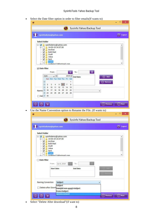• Select the Date filter option in order to filter emails(If wants to)

|                           |                                          |                             | sysinfodemo@yahoo.com                      |          |              |                                                                  |                  | G Logout      |
|---------------------------|------------------------------------------|-----------------------------|--------------------------------------------|----------|--------------|------------------------------------------------------------------|------------------|---------------|
| <b>Select Folder</b>      |                                          |                             |                                            |          |              |                                                                  |                  |               |
| <b>B-V</b><br>田川          |                                          |                             | sysinfodemo@yahoo.com<br>14-03-19 14:37:36 |          |              |                                                                  |                  | ^             |
| V                         |                                          | Archive                     |                                            |          |              |                                                                  |                  |               |
| $\checkmark$<br>✔         |                                          | <b>Bulk Mail</b><br>Draft   |                                            |          |              |                                                                  |                  |               |
| ⊽<br>✔                    | <b>Inbox</b>                             | Sent                        |                                            |          |              |                                                                  |                  |               |
|                           |                                          | Trash                       |                                            |          |              |                                                                  |                  | v             |
|                           |                                          |                             | sysdemo12@hotmail.com                      |          |              |                                                                  |                  |               |
| √ Date Filter             |                                          | From:                       |                                            |          |              | To:                                                              |                  |               |
|                           | June                                     | v÷                          |                                            |          | $2019 -$     |                                                                  |                  |               |
|                           |                                          |                             | Sun Mon Tue Wed Thu Fri Sat                |          |              | <b>End Date</b>                                                  | ⊕ Add            |               |
|                           | 22                                       |                             |                                            |          | $\mathbf{1}$ |                                                                  | $\ominus$ Remove |               |
|                           | 23<br>$\overline{\mathbf{2}}$<br>24<br>9 | 3<br>4<br>10                | 5<br>6<br>13                               | 7        | 8<br>15      |                                                                  |                  |               |
| Namin                     | 25<br>16                                 | 11<br>18<br>17              | 12<br>19<br>20                             | 14<br>21 | 22           |                                                                  | v                |               |
|                           | 26<br>23                                 | 25<br>24                    | 26<br>27                                   | 28       | 29           |                                                                  |                  |               |
|                           | Del 27 30                                |                             |                                            |          |              |                                                                  |                  |               |
|                           |                                          |                             |                                            |          |              | Use the Name Convention option to Rename the File. (If wants to) |                  |               |
|                           |                                          |                             |                                            |          |              |                                                                  |                  |               |
|                           |                                          |                             |                                            | 0        |              | Sysinfo Yahoo Backup Tool                                        |                  |               |
|                           |                                          |                             | sysinfodemo@yahoo.com                      |          |              |                                                                  |                  |               |
|                           |                                          |                             |                                            |          |              |                                                                  |                  |               |
| <b>Select Folder</b>      |                                          |                             |                                            |          |              |                                                                  |                  |               |
| $\blacksquare$<br>田       |                                          |                             | sysinfodemo@yahoo.com<br>14-03-19 14:37:36 |          |              |                                                                  |                  |               |
| ⊽<br>$\blacktriangledown$ |                                          | Archive<br><b>Bulk Mail</b> |                                            |          |              |                                                                  |                  |               |
|                           | ✓                                        | Draft                       |                                            |          |              |                                                                  |                  |               |
| ✔                         | <b>Inbox</b><br>▿                        | Sent                        |                                            |          |              |                                                                  |                  |               |
|                           |                                          | Trash                       |                                            |          |              |                                                                  |                  |               |
|                           |                                          |                             | sysdemo12@hotmail.com.                     |          |              |                                                                  |                  |               |
|                           | <b>Date Filter</b>                       |                             |                                            |          |              |                                                                  |                  |               |
|                           |                                          | From:                       | Jun 6, 2019                                |          |              | To:                                                              |                  |               |
|                           |                                          | <b>Start Date</b>           |                                            |          |              | <b>End Date</b>                                                  | (0) VX44         |               |
|                           |                                          |                             |                                            |          |              |                                                                  | <b>C</b> Renul   |               |
|                           |                                          |                             |                                            |          |              |                                                                  |                  |               |
|                           |                                          |                             |                                            |          |              |                                                                  |                  | □<br>G Logout |
| Naming Convention         |                                          |                             | Subject                                    |          |              |                                                                  | v                |               |
|                           |                                          |                             | <b>Subject</b>                             |          |              |                                                                  |                  |               |
|                           |                                          |                             | <b>From+Subject</b>                        |          |              | ] Delete after Down <mark>Date(dd-mm-yyyy)+Subject</mark>        |                  |               |
| $^{\circ}$<br>⊚           | 昷                                        |                             | <b>AutoIncrement</b>                       |          |              |                                                                  | (<) Previous     | $\odot$ Next  |

• Select "Delete After download"(if want to)

٠,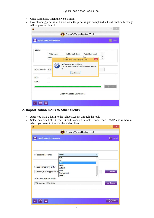- Once Complete, Click the Next Button.
- Downloading process will start, once the process gets completed, a Confirmation Message will appear to click ok.

|               | sysinfodemo@yahoo.com |                                         |                                             | Logout            |
|---------------|-----------------------|-----------------------------------------|---------------------------------------------|-------------------|
| <b>Status</b> |                       |                                         |                                             |                   |
|               | <b>Folder Name</b>    | <b>Folder Mails Count</b>               | <b>Total Mails Count</b>                    |                   |
|               | Inbox                 | $\epsilon$<br>SysInfo Yahoo Backup Tool | E <sub>n</sub><br>$\boldsymbol{\mathsf{x}}$ | ۸<br>$\checkmark$ |
| File:         |                       | ОК<br><b>Million Communication</b>      |                                             |                   |
| Rate:         | ***                   |                                         |                                             |                   |
|               |                       |                                         |                                             |                   |

#### **2. Import Yahoo mails to other clients**

- After you have a login to the yahoo account through the tool.
- Select any email client from; Gmail, Yahoo, Outlook, Thunderbird, IMAP, and Zimbra in which you want to transfer the Yahoo files.T

|                                  | Sysinfo Yahoo Backup Tool<br>0 |                 |
|----------------------------------|--------------------------------|-----------------|
| sysinfodemo@yahoo.com            |                                | <b>G</b> Logout |
|                                  |                                |                 |
| <b>Select Email Format</b>       | Gmail                          | v               |
|                                  | MHT                            | ۸               |
|                                  | Txt<br>Gmail                   |                 |
|                                  | Yahoo                          |                 |
| Select Temporary Folder          | Outlook                        |                 |
| C:\Users\user1\AppData\Loc       | <b>IMAP</b>                    | Browse          |
|                                  | <b>Thunderbird</b><br>Zimbra   |                 |
| <b>Select Destination Folder</b> |                                |                 |
| C:\Users\user1\Desktop           |                                | Browse          |
|                                  |                                |                 |
|                                  |                                |                 |
|                                  |                                |                 |
|                                  |                                | $\odot$ Next    |
| 田                                |                                |                 |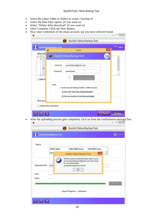- Select the yahoo folder or folders to create a backup of.
- Select the Date filter option. (If you want to)
- Select "Delete After download" (if you want to)
- Once Complete, Click the Next Button.
- Now enter credentials of the email account; say you have selected Gmail.

|                                            | ۰                                     | V <sub>19.0</sub>                                                                                                                  | ×                        |
|--------------------------------------------|---------------------------------------|------------------------------------------------------------------------------------------------------------------------------------|--------------------------|
| <b>Select Fold</b><br>E-<br>$\overline{+}$ | Sysinfo Yahoo Backup Tool<br>$\bf{O}$ |                                                                                                                                    |                          |
| √<br>Date Fi                               | Email ID<br>Password                  | sysinfodemo@gmail.com<br>$\rightarrow$ LOGIN                                                                                       | v                        |
|                                            | <b>NOTE</b>                           | In case you are having trouble . make sure you<br>1) Turn off 'Two Step Authentication'<br>2) Turn on acess to 'Less Secured Apps' |                          |
| Naming Co                                  | Delete after Download                 |                                                                                                                                    |                          |
| (i)<br>扁<br>(?)                            |                                       |                                                                                                                                    | (C) Previous<br>(b) Next |
|                                            |                                       | After the uploading process gets completed, click on from the confirmation message box.                                            |                          |
|                                            |                                       | Sysinfo Yahoo Backup Tool                                                                                                          |                          |
|                                            |                                       |                                                                                                                                    | Logout                   |

All files saved successfully.Please login to your account(sysinfodemo@gmail.com) and check for converted folder Selected Path sysin sysinfodemo@yahoo.com(5)  $\overline{OK}$ File: ... Rate: ... Export Progress: Uploaded **① ② 】第**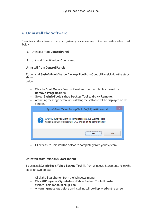## <span id="page-11-0"></span>**6. Uninstall theSoftware**

To uninstall the software from your system, you can use any of the two methods described below:

- **1.** Uninstall from **ControlPanel**
- **2.** Uninstall from **Windows Start menu**

#### **Uninstallfrom Control Panel:**

Touninstall**SysInfoToolsYahoo Backup Tool**fromControlPanel,followthesteps shown

below:

- Click the **Start Menu** > **Control Panel** and then double click the **Add or Remove Programs** icon.
- Select **SysInfoTools Yahoo Backup Tool** and click **Remove**.
- A warning message before un-installing the software will be displayed on the screen.

| SysInfoTools Yahoo Backup Tool x86(Full) v4.0 Uninstall                                                               |
|-----------------------------------------------------------------------------------------------------------------------|
| Are you sure you want to completely remove SysInfoTools<br>Yahoo Backup Toolx86(Full) v4.0 and all of its components? |
| No<br>l pa                                                                                                            |

• Click **'Yes'** to uninstall the software completely from your system.

#### **Uninstall from Windows Start menu:**

To uninstall **SysInfoTools Yahoo Backup Tool** file from Windows Start menu, follow the steps shown below:

- Click the **Start** button from the Windows menu.
- Click**AllPrograms**>**SysInfoToolsYahoo Backup Tool>Uninstall SysInfoToolsYahoo Backup Tool**.
- A warning message before un-installingwill be displayed on the screen.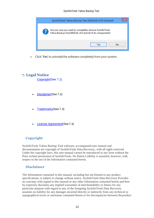| SysInfoTools Yahoo Backup Tool x86(Full) v4.0 Uninstall                                                               |
|-----------------------------------------------------------------------------------------------------------------------|
| Are you sure you want to completely remove SysInfoTools<br>Yahoo Backup Toolx86(Full) v4.0 and all of its components? |
| <br>Nο                                                                                                                |

• Click **'Yes'** to uninstall the software completely from your system.

## <span id="page-12-0"></span>**7. Legal Notice**

[Copyright\(](#page-12-1)See 7.1)

- [Disclaimer](#page-12-2)(See 7.2)
- [Trademarks](#page-13-0)(See 7.3)
- [License Agreement](#page-13-1)(See7.4)

## <span id="page-12-1"></span>**Copyright**

SysInfoTools Yahoo Backup Tool software, accompanied user manual and documentation are copyright of SysInfoTools Data Recovery, with all rights reserved. Under the copyright laws, this user manual cannot be reproduced in any form without the Prior written permission of SysInfoTools. No Patent Liability is assumed, however, with respect to the use of the Information contained herein.

## <span id="page-12-2"></span>**Disclaimer**

The Information contained in this manual, including but not limited to any product specifications, is subject to change without notice. SysInfoTools Data Recovery Provides no warranty with regard to this manual or any other information contained herein and here by expressly disclaims any implied warranties of merchantability or fitness for any particular purpose with regard to any of the foregoing SysInfoTools Data Recovery assumes no liability for any damages incurred directly or indirectly from any technical or typographical errors or omissions contained herein or for discrepancies between the product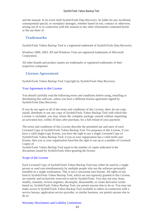and the manual. In no event shall SysInfoTools Data Recovery, be liable for any incidental, consequential special, or exemplary damages, whether based on tort, contract or otherwise, arising out of or in connection with this manual or any other information contained herein or the use there of.

## <span id="page-13-0"></span>**Trademarks**

SysInfoTools Yahoo Backup Tool is a registered trademark of SysInfoTools Data Recovery.

Windows 2000, 2003, XP and Windows Vista are registered trademarks of Microsoft Corporation.

All other brands and product names are trademarks or registered trademarks of their respective companies.

## <span id="page-13-1"></span>**License Agreement**

SysInfoTools Yahoo Backup Tool Copyright by SysInfoTools Data Recovery.

#### Your Agreement to this License

You should carefully read the following terms and conditions before using, installing or distributing this software, unless you have a different license agreement signed by SysInfoTools Data Recovery.

If you do not agree to all of the terms and conditions of this License, then: do not copy, install, distribute or use any copy of SysInfoTools Yahoo Backup Tool with which this License is included, you may return the complete package unused without requesting an activation key, within 30 days after purchase, for a full refund of your payment.

The terms and conditions of this License describe the permitted use and users of each Licensed Copy of SysInfoTools Yahoo Backup Tool. For purposes of this License, if you have a valid single-copy license, you have the right to use a single Licensed Copy of SysInfoTools Yahoo Backup Tool; if you or your organization has a valid multi-user license, then you or your organization have/has the right to use up to a number of Licensed Copies of

SysInfoTools Yahoo Backup Tool equal to the number of copies indicated in the documents issued by SysInfoTools when granting the license.

#### Scope of the License

Each Licensed Copy of SysInfoTools Yahoo Backup Tool may either be used by a single person or used non-simultaneously by multiple people who use the software personally installed on a single workstation. This is not a concurrent user license. All rights of any kind in SysInfoTools Yahoo Backup Tool, which are not expressly granted in this License, are entirely and exclusively reserved to and by SysInfoTools. You may not rent, lease, modify, translate, reverse engineer, decompile, disassemble, or create derivative works based on, SysInfoTools Yahoo Backup Tool, nor permit anyone else to do so. You may not make access to SysInfoTools Yahoo Backup Tool available to others in connection with a service bureau, application service provider, or similar business, nor permit anyone else to do so.

#### Warranty Disclaimers and Liability Limitations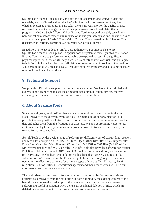SysInfoTools Yahoo Backup Tool, and any and all accompanying software, data and materials, are distributed and provided AS-IT-IS and with no warranties of any kind, whether expressed or implied. In particular, there is no warranty for the quality of data recovered. You acknowledge that good data processing procedure dictates that any program, including SysInfoTools Yahoo Backup Tool, must be thoroughly tested with non-critical data before there is any reliance on it, and you hereby assume the entire risk of all use of the copies of SysInfoTools Yahoo Backup Tool covered by this License. This disclaimer of warranty constitutes an essential part of this License.

In addition, in no event does SysInfoTools authorize you or anyone else to use SysInfoTools Yahoo Backup Tool in applications or systems where SysInfoTools Yahoo Backup Tool failure to perform can reasonably be expected to result in a significant physical injury, or in loss of life. Any such use is entirely at your own risk, and you agree to hold SysInfoTools harmless from all claims or losses relating to such unauthorized use. You agree to hold SysInfoTools Data Recovery harmless from any and all claims or losses relating to such unauthorized use.

# <span id="page-14-0"></span>**8. Technical Support**

We provide 24/7 online support to solve customer's queries. We have highly skilled and expert support team, who makes use of modernized communication devices, thereby achieving maximum efficiency and an exceptional response time.

# <span id="page-14-1"></span>**9. About SysInfoTools**

Since several years, SysInfoTools has evolved as one of the trusted names in the field of Data Recovery of the different types of files. The main aim of our organization is to provide the best possible solution to our customers so that our customers can recover their data and relief them from the frustration of data loss. We aim at providing values to our customers and try to satisfy them in every possible way. Customer satisfaction is prime reward for our organization.

SysInfoTools provides a wide range of software for different types of corrupt files recovery and repair for corrupt zip files, MS BKF files, Open Office files (Base files, Impress files, Draw files, Calc files, Math files and Writer files), MS Office 2007 files (MS Word files, MS PowerPoint files and MS Excel files). SysInfoTools also provides software for corrupt PST files of MS Outlook and DBX files of Outlook Express. In addition, we have more recovery software which are available for crashed hard disk recovery and repair like software for FAT recovery and NTFS recovery. In future, we are going to expand our operations to offer more software for different types of corrupt files, Database, Email migration, Desktop utilities, Network management and many more which will help our customers to recover their valuable data.

The hard drives data recovery software provided by our organization ensures safe and accurate data recovery from the hard drive. It does not modify the existing content of the hard drive and make the fresh copy of the recovered data. Hard drives data recovery software are useful in situation when there is an accidental deletion of files, which are deleted due to virus attacks, disk formatting and software malfunctioning.